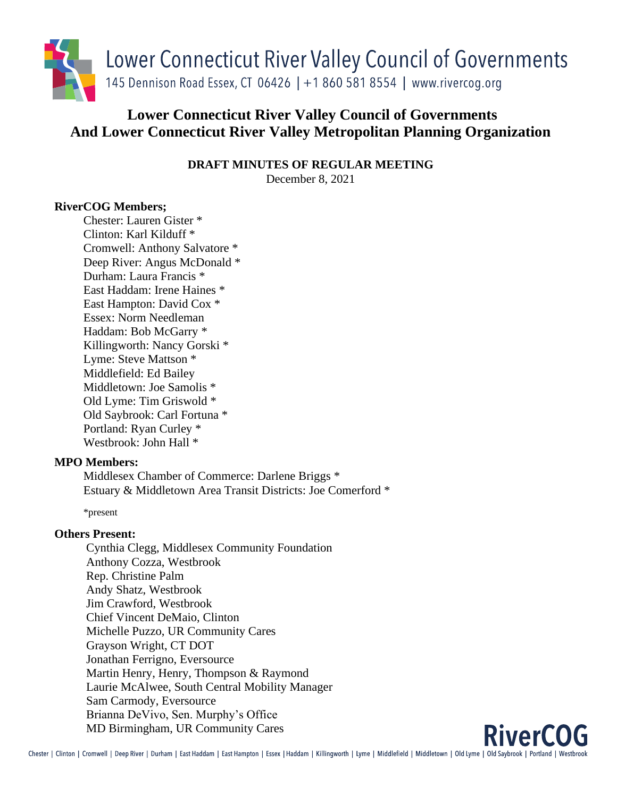

# **Lower Connecticut River Valley Council of Governments And Lower Connecticut River Valley Metropolitan Planning Organization**

**DRAFT MINUTES OF REGULAR MEETING**

December 8, 2021

## **RiverCOG Members;**

Chester: Lauren Gister \* Clinton: Karl Kilduff \* Cromwell: Anthony Salvatore \* Deep River: Angus McDonald \* Durham: Laura Francis \* East Haddam: Irene Haines \* East Hampton: David Cox \* Essex: Norm Needleman Haddam: Bob McGarry \* Killingworth: Nancy Gorski \* Lyme: Steve Mattson \* Middlefield: Ed Bailey Middletown: Joe Samolis \* Old Lyme: Tim Griswold \* Old Saybrook: Carl Fortuna \* Portland: Ryan Curley \* Westbrook: John Hall \*

## **MPO Members:**

Middlesex Chamber of Commerce: Darlene Briggs \* Estuary & Middletown Area Transit Districts: Joe Comerford \*

\*present

## **Others Present:**

Cynthia Clegg, Middlesex Community Foundation Anthony Cozza, Westbrook Rep. Christine Palm Andy Shatz, Westbrook Jim Crawford, Westbrook Chief Vincent DeMaio, Clinton Michelle Puzzo, UR Community Cares Grayson Wright, CT DOT Jonathan Ferrigno, Eversource Martin Henry, Henry, Thompson & Raymond Laurie McAlwee, South Central Mobility Manager Sam Carmody, Eversource Brianna DeVivo, Sen. Murphy's Office MD Birmingham, UR Community Cares

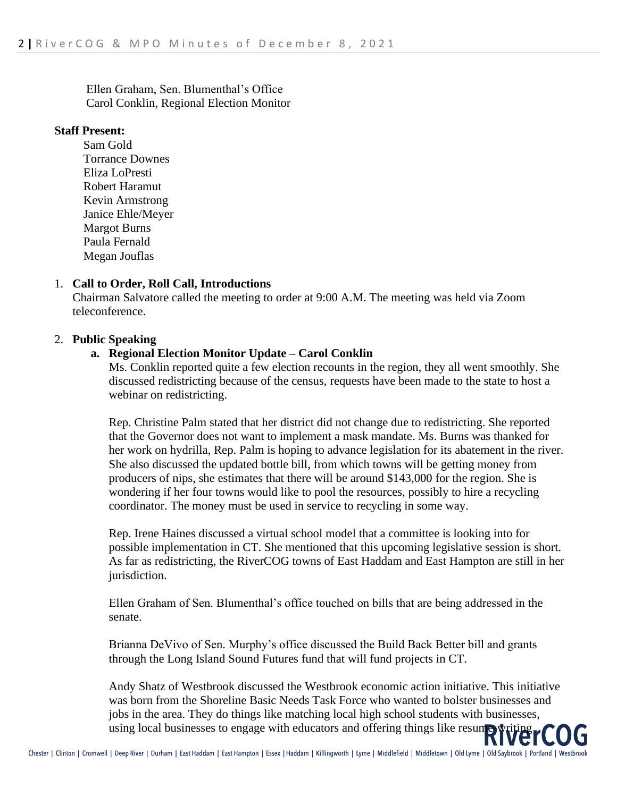Ellen Graham, Sen. Blumenthal's Office Carol Conklin, Regional Election Monitor

#### **Staff Present:**

Sam Gold Torrance Downes Eliza LoPresti Robert Haramut Kevin Armstrong Janice Ehle/Meyer Margot Burns Paula Fernald Megan Jouflas

#### 1. **Call to Order, Roll Call, Introductions**

Chairman Salvatore called the meeting to order at 9:00 A.M. The meeting was held via Zoom teleconference.

#### 2. **Public Speaking**

#### **a. Regional Election Monitor Update – Carol Conklin**

Ms. Conklin reported quite a few election recounts in the region, they all went smoothly. She discussed redistricting because of the census, requests have been made to the state to host a webinar on redistricting.

Rep. Christine Palm stated that her district did not change due to redistricting. She reported that the Governor does not want to implement a mask mandate. Ms. Burns was thanked for her work on hydrilla, Rep. Palm is hoping to advance legislation for its abatement in the river. She also discussed the updated bottle bill, from which towns will be getting money from producers of nips, she estimates that there will be around \$143,000 for the region. She is wondering if her four towns would like to pool the resources, possibly to hire a recycling coordinator. The money must be used in service to recycling in some way.

Rep. Irene Haines discussed a virtual school model that a committee is looking into for possible implementation in CT. She mentioned that this upcoming legislative session is short. As far as redistricting, the RiverCOG towns of East Haddam and East Hampton are still in her jurisdiction.

Ellen Graham of Sen. Blumenthal's office touched on bills that are being addressed in the senate.

Brianna DeVivo of Sen. Murphy's office discussed the Build Back Better bill and grants through the Long Island Sound Futures fund that will fund projects in CT.

Andy Shatz of Westbrook discussed the Westbrook economic action initiative. This initiative was born from the Shoreline Basic Needs Task Force who wanted to bolster businesses and jobs in the area. They do things like matching local high school students with businesses, JODS In the area. They are things like interesting the control offering things like resumer writing using local businesses to engage with educators and offering things like resumer writing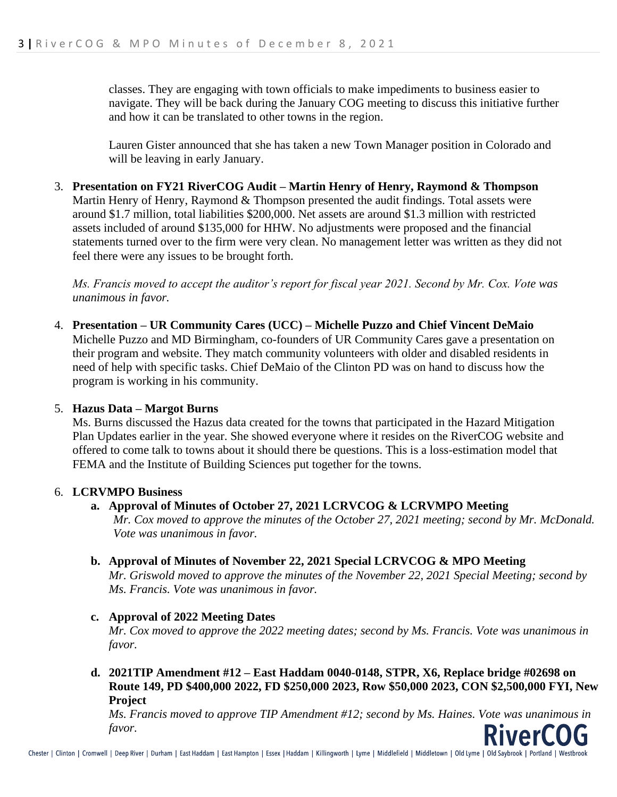classes. They are engaging with town officials to make impediments to business easier to navigate. They will be back during the January COG meeting to discuss this initiative further and how it can be translated to other towns in the region.

Lauren Gister announced that she has taken a new Town Manager position in Colorado and will be leaving in early January.

#### 3. **Presentation on FY21 RiverCOG Audit – Martin Henry of Henry, Raymond & Thompson** Martin Henry of Henry, Raymond & Thompson presented the audit findings. Total assets were around \$1.7 million, total liabilities \$200,000. Net assets are around \$1.3 million with restricted assets included of around \$135,000 for HHW. No adjustments were proposed and the financial

statements turned over to the firm were very clean. No management letter was written as they did not feel there were any issues to be brought forth.

*Ms. Francis moved to accept the auditor's report for fiscal year 2021. Second by Mr. Cox. Vote was unanimous in favor.*

4. **Presentation – UR Community Cares (UCC) – Michelle Puzzo and Chief Vincent DeMaio** Michelle Puzzo and MD Birmingham, co-founders of UR Community Cares gave a presentation on their program and website. They match community volunteers with older and disabled residents in need of help with specific tasks. Chief DeMaio of the Clinton PD was on hand to discuss how the program is working in his community.

## 5. **Hazus Data – Margot Burns**

Ms. Burns discussed the Hazus data created for the towns that participated in the Hazard Mitigation Plan Updates earlier in the year. She showed everyone where it resides on the RiverCOG website and offered to come talk to towns about it should there be questions. This is a loss-estimation model that FEMA and the Institute of Building Sciences put together for the towns.

## 6. **LCRVMPO Business**

## **a. Approval of Minutes of October 27, 2021 LCRVCOG & LCRVMPO Meeting**

*Mr. Cox moved to approve the minutes of the October 27, 2021 meeting; second by Mr. McDonald. Vote was unanimous in favor.*

## **b. Approval of Minutes of November 22, 2021 Special LCRVCOG & MPO Meeting**

*Mr. Griswold moved to approve the minutes of the November 22, 2021 Special Meeting; second by Ms. Francis. Vote was unanimous in favor.*

## **c. Approval of 2022 Meeting Dates**

*Mr. Cox moved to approve the 2022 meeting dates; second by Ms. Francis. Vote was unanimous in favor.* 

## **d. 2021TIP Amendment #12 – East Haddam 0040-0148, STPR, X6, Replace bridge #02698 on Route 149, PD \$400,000 2022, FD \$250,000 2023, Row \$50,000 2023, CON \$2,500,000 FYI, New Project**

*Ms. Francis moved to approve TIP Amendment #12; second by Ms. Haines. Vote was unanimous in favor.*ver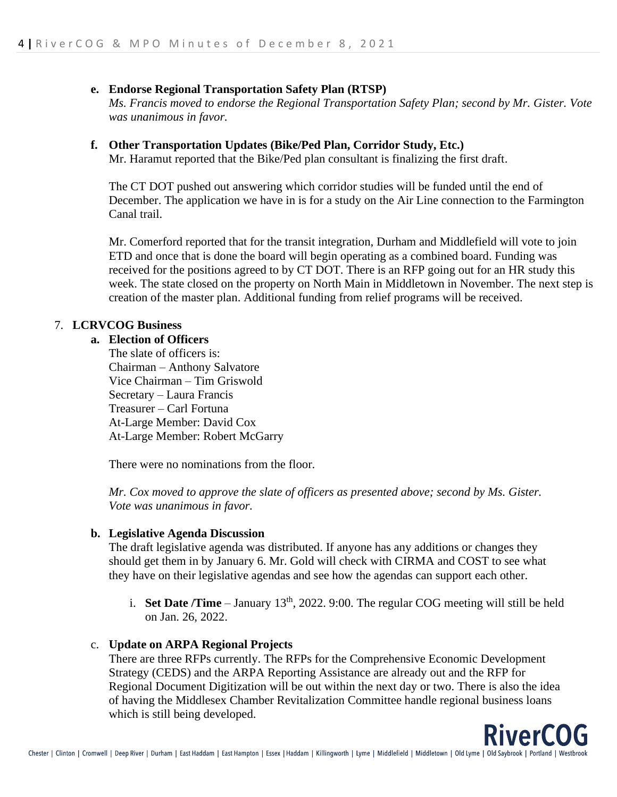#### **e. Endorse Regional Transportation Safety Plan (RTSP)**

*Ms. Francis moved to endorse the Regional Transportation Safety Plan; second by Mr. Gister. Vote was unanimous in favor.* 

#### **f. Other Transportation Updates (Bike/Ped Plan, Corridor Study, Etc.)**

Mr. Haramut reported that the Bike/Ped plan consultant is finalizing the first draft.

The CT DOT pushed out answering which corridor studies will be funded until the end of December. The application we have in is for a study on the Air Line connection to the Farmington Canal trail.

Mr. Comerford reported that for the transit integration, Durham and Middlefield will vote to join ETD and once that is done the board will begin operating as a combined board. Funding was received for the positions agreed to by CT DOT. There is an RFP going out for an HR study this week. The state closed on the property on North Main in Middletown in November. The next step is creation of the master plan. Additional funding from relief programs will be received.

#### 7. **LCRVCOG Business**

#### **a. Election of Officers**

The slate of officers is: Chairman – Anthony Salvatore Vice Chairman – Tim Griswold Secretary – Laura Francis Treasurer – Carl Fortuna At-Large Member: David Cox At-Large Member: Robert McGarry

There were no nominations from the floor.

*Mr. Cox moved to approve the slate of officers as presented above; second by Ms. Gister. Vote was unanimous in favor.*

#### **b. Legislative Agenda Discussion**

The draft legislative agenda was distributed. If anyone has any additions or changes they should get them in by January 6. Mr. Gold will check with CIRMA and COST to see what they have on their legislative agendas and see how the agendas can support each other.

i. **Set Date /Time** – January  $13<sup>th</sup>$ , 2022. 9:00. The regular COG meeting will still be held on Jan. 26, 2022.

#### c. **Update on ARPA Regional Projects**

There are three RFPs currently. The RFPs for the Comprehensive Economic Development Strategy (CEDS) and the ARPA Reporting Assistance are already out and the RFP for Regional Document Digitization will be out within the next day or two. There is also the idea of having the Middlesex Chamber Revitalization Committee handle regional business loans which is still being developed.

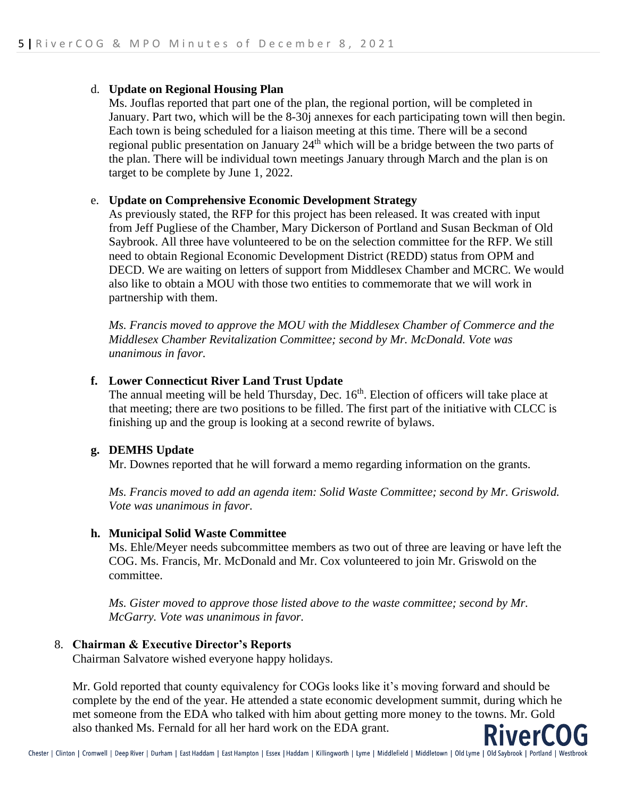#### d. **Update on Regional Housing Plan**

Ms. Jouflas reported that part one of the plan, the regional portion, will be completed in January. Part two, which will be the 8-30j annexes for each participating town will then begin. Each town is being scheduled for a liaison meeting at this time. There will be a second regional public presentation on January 24<sup>th</sup> which will be a bridge between the two parts of the plan. There will be individual town meetings January through March and the plan is on target to be complete by June 1, 2022.

#### e. **Update on Comprehensive Economic Development Strategy**

As previously stated, the RFP for this project has been released. It was created with input from Jeff Pugliese of the Chamber, Mary Dickerson of Portland and Susan Beckman of Old Saybrook. All three have volunteered to be on the selection committee for the RFP. We still need to obtain Regional Economic Development District (REDD) status from OPM and DECD. We are waiting on letters of support from Middlesex Chamber and MCRC. We would also like to obtain a MOU with those two entities to commemorate that we will work in partnership with them.

*Ms. Francis moved to approve the MOU with the Middlesex Chamber of Commerce and the Middlesex Chamber Revitalization Committee; second by Mr. McDonald. Vote was unanimous in favor.*

#### **f. Lower Connecticut River Land Trust Update**

The annual meeting will be held Thursday, Dec. 16<sup>th</sup>. Election of officers will take place at that meeting; there are two positions to be filled. The first part of the initiative with CLCC is finishing up and the group is looking at a second rewrite of bylaws.

#### **g. DEMHS Update**

Mr. Downes reported that he will forward a memo regarding information on the grants.

*Ms. Francis moved to add an agenda item: Solid Waste Committee; second by Mr. Griswold. Vote was unanimous in favor.*

#### **h. Municipal Solid Waste Committee**

Ms. Ehle/Meyer needs subcommittee members as two out of three are leaving or have left the COG. Ms. Francis, Mr. McDonald and Mr. Cox volunteered to join Mr. Griswold on the committee.

*Ms. Gister moved to approve those listed above to the waste committee; second by Mr. McGarry. Vote was unanimous in favor.*

## 8. **Chairman & Executive Director's Reports**

Chairman Salvatore wished everyone happy holidays.

Mr. Gold reported that county equivalency for COGs looks like it's moving forward and should be complete by the end of the year. He attended a state economic development summit, during which he met someone from the EDA who talked with him about getting more money to the towns. Mr. Gold also thanked Ms. Fernald for all her hard work on the EDA grant.